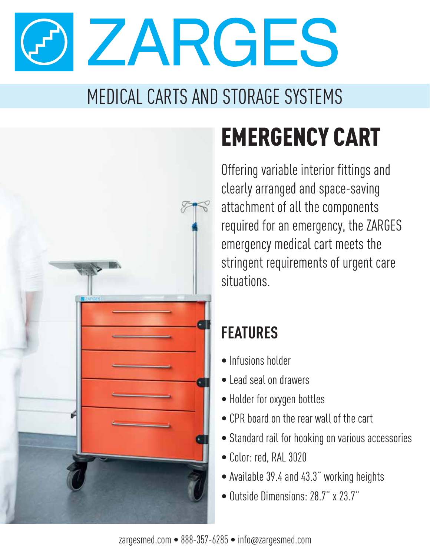ZARGES

## MEDICAL CARTS AND STORAGE SYSTEMS



# EMERGENCY CART

Offering variable interior fittings and clearly arranged and space-saving attachment of all the components required for an emergency, the ZARGES emergency medical cart meets the stringent requirements of urgent care situations.

### **FEATURES**

- Infusions holder
- Lead seal on drawers
- Holder for oxygen bottles
- CPR board on the rear wall of the cart
- Standard rail for hooking on various accessories
- Color: red, RAL 3020
- Available 39.4 and 43.3" working heights
- Outside Dimensions: 28.7" x 23.7"